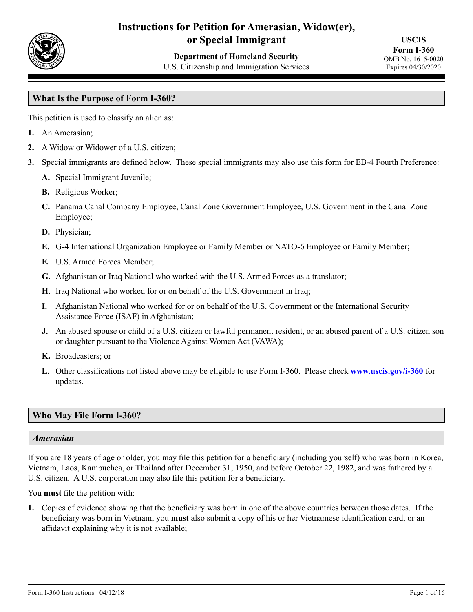

# **Instructions for Petition for Amerasian, Widow(er), or Special Immigrant**

**Department of Homeland Security** U.S. Citizenship and Immigration Services

**USCIS Form I-360** OMB No. 1615-0020 Expires 04/30/2020

## **What Is the Purpose of Form I-360?**

This petition is used to classify an alien as:

- **1.** An Amerasian;
- **2.** A Widow or Widower of a U.S. citizen;
- **3.** Special immigrants are defined below. These special immigrants may also use this form for EB-4 Fourth Preference:
	- **A.** Special Immigrant Juvenile;
	- **B.** Religious Worker;
	- **C.** Panama Canal Company Employee, Canal Zone Government Employee, U.S. Government in the Canal Zone Employee;
	- **D.** Physician;
	- **E.** G-4 International Organization Employee or Family Member or NATO-6 Employee or Family Member;
	- **F.** U.S. Armed Forces Member;
	- **G.** Afghanistan or Iraq National who worked with the U.S. Armed Forces as a translator;
	- **H.** Iraq National who worked for or on behalf of the U.S. Government in Iraq;
	- **I.** Afghanistan National who worked for or on behalf of the U.S. Government or the International Security Assistance Force (ISAF) in Afghanistan;
	- **J.** An abused spouse or child of a U.S. citizen or lawful permanent resident, or an abused parent of a U.S. citizen son or daughter pursuant to the Violence Against Women Act (VAWA);
	- **K.** Broadcasters; or
	- **L.** Other classifications not listed above may be eligible to use Form I-360. Please check **www.uscis.gov/i-360** for updates.

#### **Who May File Form I-360?**

#### *Amerasian*

If you are 18 years of age or older, you may file this petition for a beneficiary (including yourself) who was born in Korea, Vietnam, Laos, Kampuchea, or Thailand after December 31, 1950, and before October 22, 1982, and was fathered by a U.S. citizen. A U.S. corporation may also file this petition for a beneficiary.

You **must** file the petition with:

**1.** Copies of evidence showing that the beneficiary was born in one of the above countries between those dates. If the beneficiary was born in Vietnam, you **must** also submit a copy of his or her Vietnamese identification card, or an affidavit explaining why it is not available;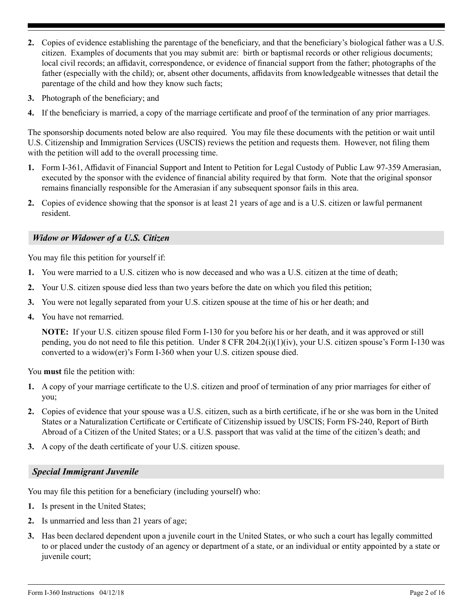- **2.** Copies of evidence establishing the parentage of the beneficiary, and that the beneficiary's biological father was a U.S. citizen. Examples of documents that you may submit are: birth or baptismal records or other religious documents; local civil records; an affidavit, correspondence, or evidence of financial support from the father; photographs of the father (especially with the child); or, absent other documents, affidavits from knowledgeable witnesses that detail the parentage of the child and how they know such facts;
- **3.** Photograph of the beneficiary; and
- **4.** If the beneficiary is married, a copy of the marriage certificate and proof of the termination of any prior marriages.

The sponsorship documents noted below are also required. You may file these documents with the petition or wait until U.S. Citizenship and Immigration Services (USCIS) reviews the petition and requests them. However, not filing them with the petition will add to the overall processing time.

- **1.** Form I-361, Affidavit of Financial Support and Intent to Petition for Legal Custody of Public Law 97-359 Amerasian, executed by the sponsor with the evidence of financial ability required by that form. Note that the original sponsor remains financially responsible for the Amerasian if any subsequent sponsor fails in this area.
- **2.** Copies of evidence showing that the sponsor is at least 21 years of age and is a U.S. citizen or lawful permanent resident.

### *Widow or Widower of a U.S. Citizen*

You may file this petition for yourself if:

- **1.** You were married to a U.S. citizen who is now deceased and who was a U.S. citizen at the time of death;
- **2.** Your U.S. citizen spouse died less than two years before the date on which you filed this petition;
- **3.** You were not legally separated from your U.S. citizen spouse at the time of his or her death; and
- **4.** You have not remarried.

**NOTE:** If your U.S. citizen spouse filed Form I-130 for you before his or her death, and it was approved or still pending, you do not need to file this petition. Under  $8$  CFR 204.2(i)(1)(iv), your U.S. citizen spouse's Form I-130 was converted to a widow(er)'s Form I-360 when your U.S. citizen spouse died.

You **must** file the petition with:

- **1.** A copy of your marriage certificate to the U.S. citizen and proof of termination of any prior marriages for either of you;
- **2.** Copies of evidence that your spouse was a U.S. citizen, such as a birth certificate, if he or she was born in the United States or a Naturalization Certificate or Certificate of Citizenship issued by USCIS; Form FS-240, Report of Birth Abroad of a Citizen of the United States; or a U.S. passport that was valid at the time of the citizen's death; and
- **3.** A copy of the death certificate of your U.S. citizen spouse.

#### *Special Immigrant Juvenile*

You may file this petition for a beneficiary (including yourself) who:

- **1.** Is present in the United States;
- **2.** Is unmarried and less than 21 years of age;
- **3.** Has been declared dependent upon a juvenile court in the United States, or who such a court has legally committed to or placed under the custody of an agency or department of a state, or an individual or entity appointed by a state or juvenile court;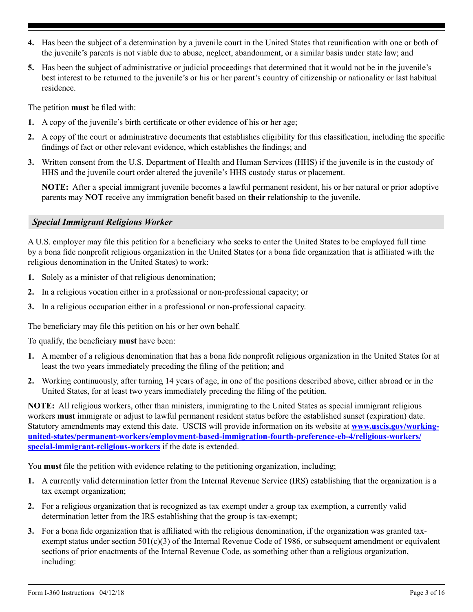- **4.** Has been the subject of a determination by a juvenile court in the United States that reunification with one or both of the juvenile's parents is not viable due to abuse, neglect, abandonment, or a similar basis under state law; and
- **5.** Has been the subject of administrative or judicial proceedings that determined that it would not be in the juvenile's best interest to be returned to the juvenile's or his or her parent's country of citizenship or nationality or last habitual residence.

The petition **must** be filed with:

- **1.** A copy of the juvenile's birth certificate or other evidence of his or her age;
- **2.** A copy of the court or administrative documents that establishes eligibility for this classification, including the specific findings of fact or other relevant evidence, which establishes the findings; and
- **3.** Written consent from the U.S. Department of Health and Human Services (HHS) if the juvenile is in the custody of HHS and the juvenile court order altered the juvenile's HHS custody status or placement.

**NOTE:** After a special immigrant juvenile becomes a lawful permanent resident, his or her natural or prior adoptive parents may **NOT** receive any immigration benefit based on **their** relationship to the juvenile.

### *Special Immigrant Religious Worker*

A U.S. employer may file this petition for a beneficiary who seeks to enter the United States to be employed full time by a bona fide nonprofit religious organization in the United States (or a bona fide organization that is affiliated with the religious denomination in the United States) to work:

- **1.** Solely as a minister of that religious denomination;
- **2.** In a religious vocation either in a professional or non-professional capacity; or
- **3.** In a religious occupation either in a professional or non-professional capacity.

The beneficiary may file this petition on his or her own behalf.

To qualify, the beneficiary **must** have been:

- **1.** A member of a religious denomination that has a bona fide nonprofit religious organization in the United States for at least the two years immediately preceding the filing of the petition; and
- **2.** Working continuously, after turning 14 years of age, in one of the positions described above, either abroad or in the United States, for at least two years immediately preceding the filing of the petition.

**NOTE:** All religious workers, other than ministers, immigrating to the United States as special immigrant religious workers **must** immigrate or adjust to lawful permanent resident status before the established sunset (expiration) date. Statutory amendments may extend this date. USCIS will provide information on its website at **[www.uscis.gov/working](www.uscis.gov/working-united-states/permanent-workers/employment-based-immigration-fourth-preference-eb-4/religious-workers/special-immigrant-religious-workers)[united-states/permanent-workers/employment-based-immigration-fourth-preference-eb-4/religious-workers/](www.uscis.gov/working-united-states/permanent-workers/employment-based-immigration-fourth-preference-eb-4/religious-workers/special-immigrant-religious-workers) [special-immigrant-religious-workers](www.uscis.gov/working-united-states/permanent-workers/employment-based-immigration-fourth-preference-eb-4/religious-workers/special-immigrant-religious-workers)** if the date is extended.

You **must** file the petition with evidence relating to the petitioning organization, including;

- **1.** A currently valid determination letter from the Internal Revenue Service (IRS) establishing that the organization is a tax exempt organization;
- **2.** For a religious organization that is recognized as tax exempt under a group tax exemption, a currently valid determination letter from the IRS establishing that the group is tax-exempt;
- **3.** For a bona fide organization that is affiliated with the religious denomination, if the organization was granted taxexempt status under section 501(c)(3) of the Internal Revenue Code of 1986, or subsequent amendment or equivalent sections of prior enactments of the Internal Revenue Code, as something other than a religious organization, including: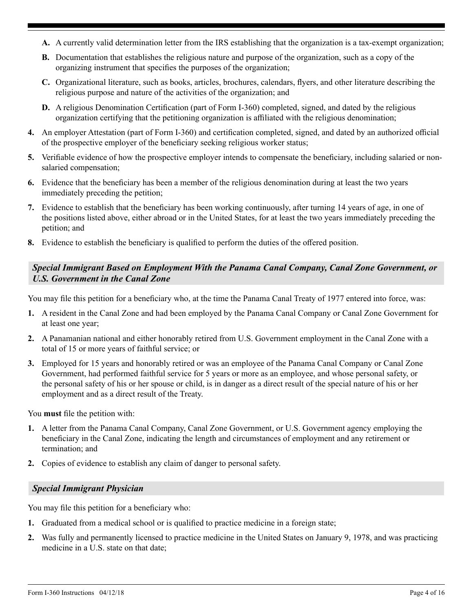- **A.** A currently valid determination letter from the IRS establishing that the organization is a tax-exempt organization;
- **B.** Documentation that establishes the religious nature and purpose of the organization, such as a copy of the organizing instrument that specifies the purposes of the organization;
- **C.** Organizational literature, such as books, articles, brochures, calendars, flyers, and other literature describing the religious purpose and nature of the activities of the organization; and
- **D.** A religious Denomination Certification (part of Form I-360) completed, signed, and dated by the religious organization certifying that the petitioning organization is affiliated with the religious denomination;
- **4.** An employer Attestation (part of Form I-360) and certification completed, signed, and dated by an authorized official of the prospective employer of the beneficiary seeking religious worker status;
- **5.** Verifiable evidence of how the prospective employer intends to compensate the beneficiary, including salaried or nonsalaried compensation;
- **6.** Evidence that the beneficiary has been a member of the religious denomination during at least the two years immediately preceding the petition;
- **7.** Evidence to establish that the beneficiary has been working continuously, after turning 14 years of age, in one of the positions listed above, either abroad or in the United States, for at least the two years immediately preceding the petition; and
- **8.** Evidence to establish the beneficiary is qualified to perform the duties of the offered position.

## *Special Immigrant Based on Employment With the Panama Canal Company, Canal Zone Government, or U.S. Government in the Canal Zone*

You may file this petition for a beneficiary who, at the time the Panama Canal Treaty of 1977 entered into force, was:

- **1.** A resident in the Canal Zone and had been employed by the Panama Canal Company or Canal Zone Government for at least one year;
- **2.** A Panamanian national and either honorably retired from U.S. Government employment in the Canal Zone with a total of 15 or more years of faithful service; or
- **3.** Employed for 15 years and honorably retired or was an employee of the Panama Canal Company or Canal Zone Government, had performed faithful service for 5 years or more as an employee, and whose personal safety, or the personal safety of his or her spouse or child, is in danger as a direct result of the special nature of his or her employment and as a direct result of the Treaty.

You **must** file the petition with:

- **1.** A letter from the Panama Canal Company, Canal Zone Government, or U.S. Government agency employing the beneficiary in the Canal Zone, indicating the length and circumstances of employment and any retirement or termination; and
- **2.** Copies of evidence to establish any claim of danger to personal safety.

## *Special Immigrant Physician*

You may file this petition for a beneficiary who:

- **1.** Graduated from a medical school or is qualified to practice medicine in a foreign state;
- **2.** Was fully and permanently licensed to practice medicine in the United States on January 9, 1978, and was practicing medicine in a U.S. state on that date;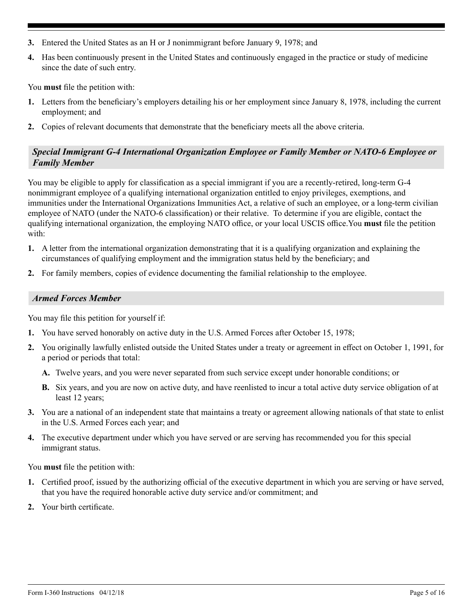- **3.** Entered the United States as an H or J nonimmigrant before January 9, 1978; and
- **4.** Has been continuously present in the United States and continuously engaged in the practice or study of medicine since the date of such entry.

You **must** file the petition with:

- **1.** Letters from the beneficiary's employers detailing his or her employment since January 8, 1978, including the current employment; and
- **2.** Copies of relevant documents that demonstrate that the beneficiary meets all the above criteria.

## *Special Immigrant G-4 International Organization Employee or Family Member or NATO-6 Employee or Family Member*

You may be eligible to apply for classification as a special immigrant if you are a recently-retired, long-term G-4 nonimmigrant employee of a qualifying international organization entitled to enjoy privileges, exemptions, and immunities under the International Organizations Immunities Act, a relative of such an employee, or a long-term civilian employee of NATO (under the NATO-6 classification) or their relative. To determine if you are eligible, contact the qualifying international organization, the employing NATO office, or your local USCIS office.You **must** file the petition with:

- **1.** A letter from the international organization demonstrating that it is a qualifying organization and explaining the circumstances of qualifying employment and the immigration status held by the beneficiary; and
- **2.** For family members, copies of evidence documenting the familial relationship to the employee.

## *Armed Forces Member*

You may file this petition for yourself if:

- **1.** You have served honorably on active duty in the U.S. Armed Forces after October 15, 1978;
- **2.** You originally lawfully enlisted outside the United States under a treaty or agreement in effect on October 1, 1991, for a period or periods that total:
	- **A.** Twelve years, and you were never separated from such service except under honorable conditions; or
	- **B.** Six years, and you are now on active duty, and have reenlisted to incur a total active duty service obligation of at least 12 years;
- **3.** You are a national of an independent state that maintains a treaty or agreement allowing nationals of that state to enlist in the U.S. Armed Forces each year; and
- **4.** The executive department under which you have served or are serving has recommended you for this special immigrant status.

You **must** file the petition with:

- **1.** Certified proof, issued by the authorizing official of the executive department in which you are serving or have served, that you have the required honorable active duty service and/or commitment; and
- **2.** Your birth certificate.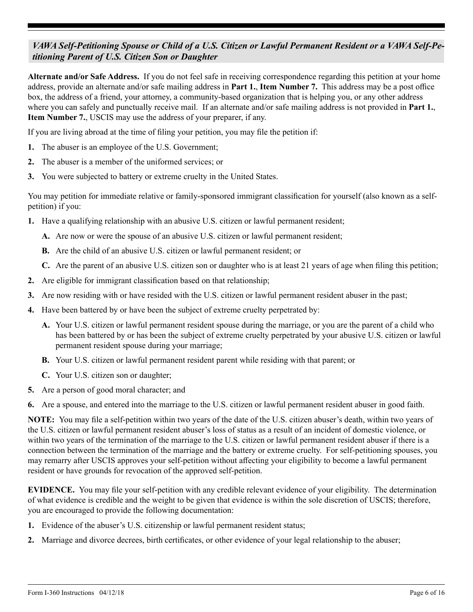## *VAWA Self-Petitioning Spouse or Child of a U.S. Citizen or Lawful Permanent Resident or a VAWA Self-Petitioning Parent of U.S. Citizen Son or Daughter*

**Alternate and/or Safe Address.** If you do not feel safe in receiving correspondence regarding this petition at your home address, provide an alternate and/or safe mailing address in **Part 1.**, **Item Number 7.** This address may be a post office box, the address of a friend, your attorney, a community-based organization that is helping you, or any other address where you can safely and punctually receive mail. If an alternate and/or safe mailing address is not provided in **Part 1.**, **Item Number 7.**, USCIS may use the address of your preparer, if any.

If you are living abroad at the time of filing your petition, you may file the petition if:

- **1.** The abuser is an employee of the U.S. Government;
- **2.** The abuser is a member of the uniformed services; or
- **3.** You were subjected to battery or extreme cruelty in the United States.

You may petition for immediate relative or family-sponsored immigrant classification for yourself (also known as a selfpetition) if you:

- **1.** Have a qualifying relationship with an abusive U.S. citizen or lawful permanent resident;
	- **A.** Are now or were the spouse of an abusive U.S. citizen or lawful permanent resident;
	- **B.** Are the child of an abusive U.S. citizen or lawful permanent resident; or
	- **C.** Are the parent of an abusive U.S. citizen son or daughter who is at least 21 years of age when filing this petition;
- **2.** Are eligible for immigrant classification based on that relationship;
- **3.** Are now residing with or have resided with the U.S. citizen or lawful permanent resident abuser in the past;
- **4.** Have been battered by or have been the subject of extreme cruelty perpetrated by:
	- **A.** Your U.S. citizen or lawful permanent resident spouse during the marriage, or you are the parent of a child who has been battered by or has been the subject of extreme cruelty perpetrated by your abusive U.S. citizen or lawful permanent resident spouse during your marriage;
	- **B.** Your U.S. citizen or lawful permanent resident parent while residing with that parent; or
	- **C.** Your U.S. citizen son or daughter;
- **5.** Are a person of good moral character; and
- **6.** Are a spouse, and entered into the marriage to the U.S. citizen or lawful permanent resident abuser in good faith.

**NOTE:** You may file a self-petition within two years of the date of the U.S. citizen abuser's death, within two years of the U.S. citizen or lawful permanent resident abuser's loss of status as a result of an incident of domestic violence, or within two years of the termination of the marriage to the U.S. citizen or lawful permanent resident abuser if there is a connection between the termination of the marriage and the battery or extreme cruelty. For self-petitioning spouses, you may remarry after USCIS approves your self-petition without affecting your eligibility to become a lawful permanent resident or have grounds for revocation of the approved self-petition.

**EVIDENCE.** You may file your self-petition with any credible relevant evidence of your eligibility. The determination of what evidence is credible and the weight to be given that evidence is within the sole discretion of USCIS; therefore, you are encouraged to provide the following documentation:

- **1.** Evidence of the abuser's U.S. citizenship or lawful permanent resident status;
- **2.** Marriage and divorce decrees, birth certificates, or other evidence of your legal relationship to the abuser;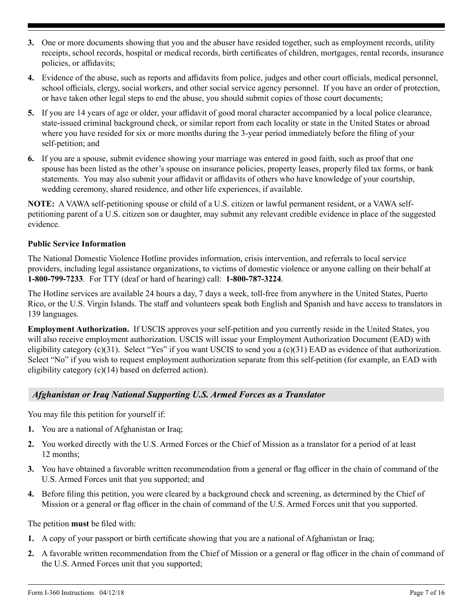- **3.** One or more documents showing that you and the abuser have resided together, such as employment records, utility receipts, school records, hospital or medical records, birth certificates of children, mortgages, rental records, insurance policies, or affidavits;
- **4.** Evidence of the abuse, such as reports and affidavits from police, judges and other court officials, medical personnel, school officials, clergy, social workers, and other social service agency personnel. If you have an order of protection, or have taken other legal steps to end the abuse, you should submit copies of those court documents;
- **5.** If you are 14 years of age or older, your affidavit of good moral character accompanied by a local police clearance, state-issued criminal background check, or similar report from each locality or state in the United States or abroad where you have resided for six or more months during the 3-year period immediately before the filing of your self-petition; and
- **6.** If you are a spouse, submit evidence showing your marriage was entered in good faith, such as proof that one spouse has been listed as the other's spouse on insurance policies, property leases, properly filed tax forms, or bank statements. You may also submit your affidavit or affidavits of others who have knowledge of your courtship, wedding ceremony, shared residence, and other life experiences, if available.

**NOTE:** A VAWA self-petitioning spouse or child of a U.S. citizen or lawful permanent resident, or a VAWA selfpetitioning parent of a U.S. citizen son or daughter, may submit any relevant credible evidence in place of the suggested evidence.

### **Public Service Information**

The National Domestic Violence Hotline provides information, crisis intervention, and referrals to local service providers, including legal assistance organizations, to victims of domestic violence or anyone calling on their behalf at **1-800-799-7233**. For TTY (deaf or hard of hearing) call: **1-800-787-3224**.

The Hotline services are available 24 hours a day, 7 days a week, toll-free from anywhere in the United States, Puerto Rico, or the U.S. Virgin Islands. The staff and volunteers speak both English and Spanish and have access to translators in 139 languages.

**Employment Authorization.** If USCIS approves your self-petition and you currently reside in the United States, you will also receive employment authorization. USCIS will issue your Employment Authorization Document (EAD) with eligibility category  $(c)(31)$ . Select "Yes" if you want USCIS to send you a  $(c)(31)$  EAD as evidence of that authorization. Select "No" if you wish to request employment authorization separate from this self-petition (for example, an EAD with eligibility category (c)(14) based on deferred action).

## *Afghanistan or Iraq National Supporting U.S. Armed Forces as a Translator*

You may file this petition for yourself if:

- **1.** You are a national of Afghanistan or Iraq;
- **2.** You worked directly with the U.S. Armed Forces or the Chief of Mission as a translator for a period of at least 12 months;
- **3.** You have obtained a favorable written recommendation from a general or flag officer in the chain of command of the U.S. Armed Forces unit that you supported; and
- **4.** Before filing this petition, you were cleared by a background check and screening, as determined by the Chief of Mission or a general or flag officer in the chain of command of the U.S. Armed Forces unit that you supported.

The petition **must** be filed with:

- **1.** A copy of your passport or birth certificate showing that you are a national of Afghanistan or Iraq;
- **2.** A favorable written recommendation from the Chief of Mission or a general or flag officer in the chain of command of the U.S. Armed Forces unit that you supported;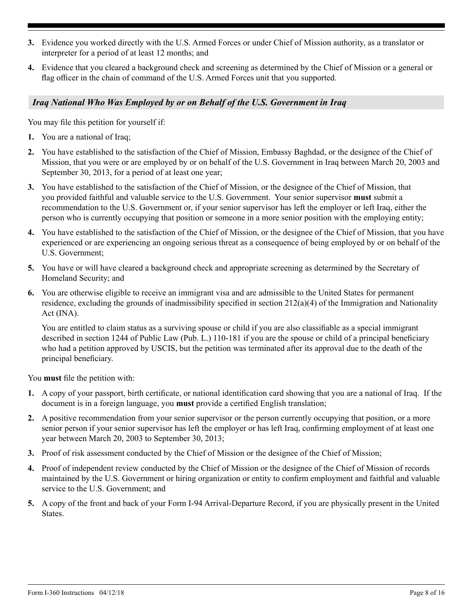- **3.** Evidence you worked directly with the U.S. Armed Forces or under Chief of Mission authority, as a translator or interpreter for a period of at least 12 months; and
- **4.** Evidence that you cleared a background check and screening as determined by the Chief of Mission or a general or flag officer in the chain of command of the U.S. Armed Forces unit that you supported.

## *Iraq National Who Was Employed by or on Behalf of the U.S. Government in Iraq*

You may file this petition for yourself if:

- **1.** You are a national of Iraq;
- **2.** You have established to the satisfaction of the Chief of Mission, Embassy Baghdad, or the designee of the Chief of Mission, that you were or are employed by or on behalf of the U.S. Government in Iraq between March 20, 2003 and September 30, 2013, for a period of at least one year;
- **3.** You have established to the satisfaction of the Chief of Mission, or the designee of the Chief of Mission, that you provided faithful and valuable service to the U.S. Government. Your senior supervisor **must** submit a recommendation to the U.S. Government or, if your senior supervisor has left the employer or left Iraq, either the person who is currently occupying that position or someone in a more senior position with the employing entity;
- **4.** You have established to the satisfaction of the Chief of Mission, or the designee of the Chief of Mission, that you have experienced or are experiencing an ongoing serious threat as a consequence of being employed by or on behalf of the U.S. Government;
- **5.** You have or will have cleared a background check and appropriate screening as determined by the Secretary of Homeland Security; and
- **6.** You are otherwise eligible to receive an immigrant visa and are admissible to the United States for permanent residence, excluding the grounds of inadmissibility specified in section  $212(a)(4)$  of the Immigration and Nationality Act (INA).

You are entitled to claim status as a surviving spouse or child if you are also classifiable as a special immigrant described in section 1244 of Public Law (Pub. L.) 110-181 if you are the spouse or child of a principal beneficiary who had a petition approved by USCIS, but the petition was terminated after its approval due to the death of the principal beneficiary.

You **must** file the petition with:

- **1.** A copy of your passport, birth certificate, or national identification card showing that you are a national of Iraq. If the document is in a foreign language, you **must** provide a certified English translation;
- **2.** A positive recommendation from your senior supervisor or the person currently occupying that position, or a more senior person if your senior supervisor has left the employer or has left Iraq, confirming employment of at least one year between March 20, 2003 to September 30, 2013;
- **3.** Proof of risk assessment conducted by the Chief of Mission or the designee of the Chief of Mission;
- **4.** Proof of independent review conducted by the Chief of Mission or the designee of the Chief of Mission of records maintained by the U.S. Government or hiring organization or entity to confirm employment and faithful and valuable service to the U.S. Government; and
- **5.** A copy of the front and back of your Form I-94 Arrival-Departure Record, if you are physically present in the United States.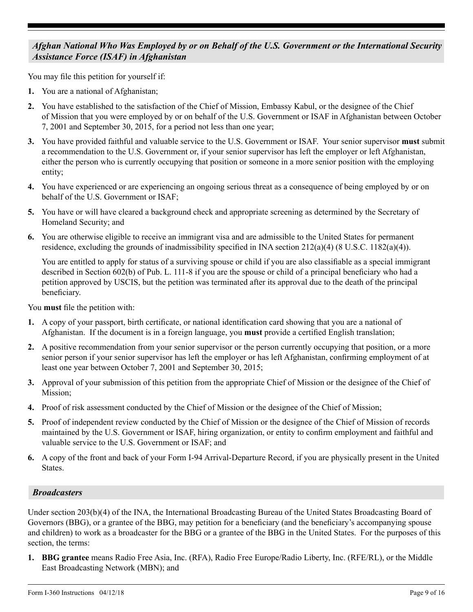## *Afghan National Who Was Employed by or on Behalf of the U.S. Government or the International Security Assistance Force (ISAF) in Afghanistan*

You may file this petition for yourself if:

- **1.** You are a national of Afghanistan;
- **2.** You have established to the satisfaction of the Chief of Mission, Embassy Kabul, or the designee of the Chief of Mission that you were employed by or on behalf of the U.S. Government or ISAF in Afghanistan between October 7, 2001 and September 30, 2015, for a period not less than one year;
- **3.** You have provided faithful and valuable service to the U.S. Government or ISAF. Your senior supervisor **must** submit a recommendation to the U.S. Government or, if your senior supervisor has left the employer or left Afghanistan, either the person who is currently occupying that position or someone in a more senior position with the employing entity;
- **4.** You have experienced or are experiencing an ongoing serious threat as a consequence of being employed by or on behalf of the U.S. Government or ISAF;
- **5.** You have or will have cleared a background check and appropriate screening as determined by the Secretary of Homeland Security; and
- **6.** You are otherwise eligible to receive an immigrant visa and are admissible to the United States for permanent residence, excluding the grounds of inadmissibility specified in INA section  $212(a)(4)$  (8 U.S.C. 1182(a)(4)).

You are entitled to apply for status of a surviving spouse or child if you are also classifiable as a special immigrant described in Section 602(b) of Pub. L. 111-8 if you are the spouse or child of a principal beneficiary who had a petition approved by USCIS, but the petition was terminated after its approval due to the death of the principal beneficiary.

You **must** file the petition with:

- **1.** A copy of your passport, birth certificate, or national identification card showing that you are a national of Afghanistan. If the document is in a foreign language, you **must** provide a certified English translation;
- **2.** A positive recommendation from your senior supervisor or the person currently occupying that position, or a more senior person if your senior supervisor has left the employer or has left Afghanistan, confirming employment of at least one year between October 7, 2001 and September 30, 2015;
- **3.** Approval of your submission of this petition from the appropriate Chief of Mission or the designee of the Chief of Mission;
- **4.** Proof of risk assessment conducted by the Chief of Mission or the designee of the Chief of Mission;
- **5.** Proof of independent review conducted by the Chief of Mission or the designee of the Chief of Mission of records maintained by the U.S. Government or ISAF, hiring organization, or entity to confirm employment and faithful and valuable service to the U.S. Government or ISAF; and
- **6.** A copy of the front and back of your Form I-94 Arrival-Departure Record, if you are physically present in the United States.

## *Broadcasters*

Under section 203(b)(4) of the INA, the International Broadcasting Bureau of the United States Broadcasting Board of Governors (BBG), or a grantee of the BBG, may petition for a beneficiary (and the beneficiary's accompanying spouse and children) to work as a broadcaster for the BBG or a grantee of the BBG in the United States. For the purposes of this section, the terms:

**1. BBG grantee** means Radio Free Asia, Inc. (RFA), Radio Free Europe/Radio Liberty, Inc. (RFE/RL), or the Middle East Broadcasting Network (MBN); and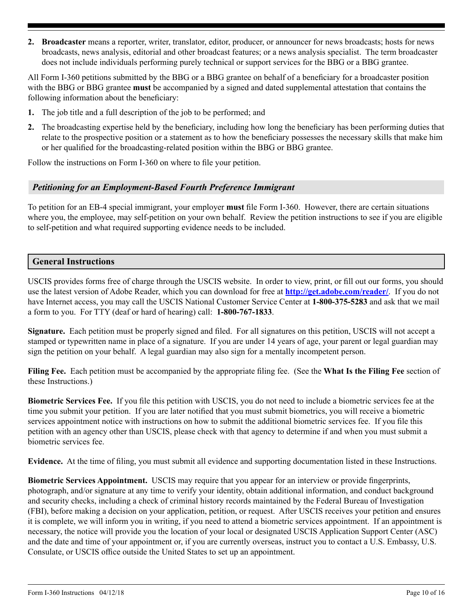**2. Broadcaster** means a reporter, writer, translator, editor, producer, or announcer for news broadcasts; hosts for news broadcasts, news analysis, editorial and other broadcast features; or a news analysis specialist. The term broadcaster does not include individuals performing purely technical or support services for the BBG or a BBG grantee.

All Form I-360 petitions submitted by the BBG or a BBG grantee on behalf of a beneficiary for a broadcaster position with the BBG or BBG grantee **must** be accompanied by a signed and dated supplemental attestation that contains the following information about the beneficiary:

- **1.** The job title and a full description of the job to be performed; and
- **2.** The broadcasting expertise held by the beneficiary, including how long the beneficiary has been performing duties that relate to the prospective position or a statement as to how the beneficiary possesses the necessary skills that make him or her qualified for the broadcasting-related position within the BBG or BBG grantee.

Follow the instructions on Form I-360 on where to file your petition.

## *Petitioning for an Employment-Based Fourth Preference Immigrant*

To petition for an EB-4 special immigrant, your employer **must** file Form I-360. However, there are certain situations where you, the employee, may self-petition on your own behalf. Review the petition instructions to see if you are eligible to self-petition and what required supporting evidence needs to be included.

## **General Instructions**

USCIS provides forms free of charge through the USCIS website. In order to view, print, or fill out our forms, you should use the latest version of Adobe Reader, which you can download for free at **<http://get.adobe.com/reader/>**. If you do not have Internet access, you may call the USCIS National Customer Service Center at **1-800-375-5283** and ask that we mail a form to you. For TTY (deaf or hard of hearing) call: **1-800-767-1833**.

**Signature.** Each petition must be properly signed and filed. For all signatures on this petition, USCIS will not accept a stamped or typewritten name in place of a signature. If you are under 14 years of age, your parent or legal guardian may sign the petition on your behalf. A legal guardian may also sign for a mentally incompetent person.

**Filing Fee.** Each petition must be accompanied by the appropriate filing fee. (See the **What Is the Filing Fee** section of these Instructions.)

**Biometric Services Fee.** If you file this petition with USCIS, you do not need to include a biometric services fee at the time you submit your petition. If you are later notified that you must submit biometrics, you will receive a biometric services appointment notice with instructions on how to submit the additional biometric services fee. If you file this petition with an agency other than USCIS, please check with that agency to determine if and when you must submit a biometric services fee.

**Evidence.** At the time of filing, you must submit all evidence and supporting documentation listed in these Instructions.

**Biometric Services Appointment.** USCIS may require that you appear for an interview or provide fingerprints, photograph, and/or signature at any time to verify your identity, obtain additional information, and conduct background and security checks, including a check of criminal history records maintained by the Federal Bureau of Investigation (FBI), before making a decision on your application, petition, or request. After USCIS receives your petition and ensures it is complete, we will inform you in writing, if you need to attend a biometric services appointment. If an appointment is necessary, the notice will provide you the location of your local or designated USCIS Application Support Center (ASC) and the date and time of your appointment or, if you are currently overseas, instruct you to contact a U.S. Embassy, U.S. Consulate, or USCIS office outside the United States to set up an appointment.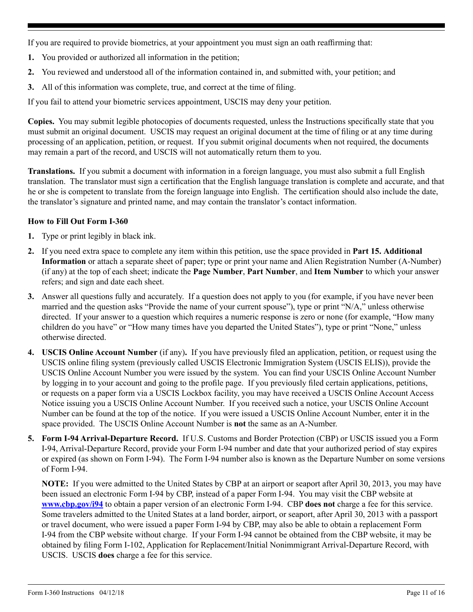If you are required to provide biometrics, at your appointment you must sign an oath reaffirming that:

- **1.** You provided or authorized all information in the petition;
- **2.** You reviewed and understood all of the information contained in, and submitted with, your petition; and
- **3.** All of this information was complete, true, and correct at the time of filing.

If you fail to attend your biometric services appointment, USCIS may deny your petition.

**Copies.** You may submit legible photocopies of documents requested, unless the Instructions specifically state that you must submit an original document. USCIS may request an original document at the time of filing or at any time during processing of an application, petition, or request. If you submit original documents when not required, the documents may remain a part of the record, and USCIS will not automatically return them to you.

**Translations.** If you submit a document with information in a foreign language, you must also submit a full English translation. The translator must sign a certification that the English language translation is complete and accurate, and that he or she is competent to translate from the foreign language into English. The certification should also include the date, the translator's signature and printed name, and may contain the translator's contact information.

## **How to Fill Out Form I-360**

- **1.** Type or print legibly in black ink.
- **2.** If you need extra space to complete any item within this petition, use the space provided in **Part 15. Additional Information** or attach a separate sheet of paper; type or print your name and Alien Registration Number (A-Number) (if any) at the top of each sheet; indicate the **Page Number**, **Part Number**, and **Item Number** to which your answer refers; and sign and date each sheet.
- **3.** Answer all questions fully and accurately. If a question does not apply to you (for example, if you have never been married and the question asks "Provide the name of your current spouse"), type or print "N/A," unless otherwise directed. If your answer to a question which requires a numeric response is zero or none (for example, "How many children do you have" or "How many times have you departed the United States"), type or print "None," unless otherwise directed.
- **4. USCIS Online Account Number** (if any)**.** If you have previously filed an application, petition, or request using the USCIS online filing system (previously called USCIS Electronic Immigration System (USCIS ELIS)), provide the USCIS Online Account Number you were issued by the system. You can find your USCIS Online Account Number by logging in to your account and going to the profile page. If you previously filed certain applications, petitions, or requests on a paper form via a USCIS Lockbox facility, you may have received a USCIS Online Account Access Notice issuing you a USCIS Online Account Number. If you received such a notice, your USCIS Online Account Number can be found at the top of the notice. If you were issued a USCIS Online Account Number, enter it in the space provided. The USCIS Online Account Number is **not** the same as an A-Number.
- **5. Form I-94 Arrival-Departure Record.** If U.S. Customs and Border Protection (CBP) or USCIS issued you a Form I-94, Arrival-Departure Record, provide your Form I-94 number and date that your authorized period of stay expires or expired (as shown on Form I-94). The Form I-94 number also is known as the Departure Number on some versions of Form I-94.

**NOTE:** If you were admitted to the United States by CBP at an airport or seaport after April 30, 2013, you may have been issued an electronic Form I-94 by CBP, instead of a paper Form I-94. You may visit the CBP website at **[www.cbp.gov/i94](http://www.cbp.gov/i94)** to obtain a paper version of an electronic Form I-94. CBP **does not** charge a fee for this service. Some travelers admitted to the United States at a land border, airport, or seaport, after April 30, 2013 with a passport or travel document, who were issued a paper Form I-94 by CBP, may also be able to obtain a replacement Form I-94 from the CBP website without charge. If your Form I-94 cannot be obtained from the CBP website, it may be obtained by filing Form I-102, Application for Replacement/Initial Nonimmigrant Arrival-Departure Record, with USCIS. USCIS **does** charge a fee for this service.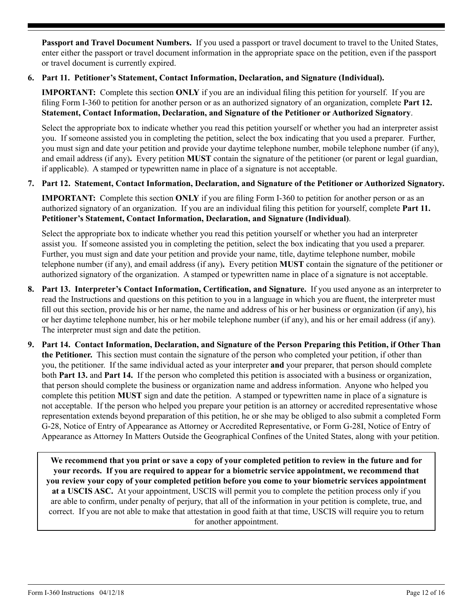**Passport and Travel Document Numbers.** If you used a passport or travel document to travel to the United States, enter either the passport or travel document information in the appropriate space on the petition, even if the passport or travel document is currently expired.

### **6. Part 11. Petitioner's Statement, Contact Information, Declaration, and Signature (Individual).**

**IMPORTANT:** Complete this section **ONLY** if you are an individual filing this petition for yourself. If you are filing Form I-360 to petition for another person or as an authorized signatory of an organization, complete **Part 12. Statement, Contact Information, Declaration, and Signature of the Petitioner or Authorized Signatory**.

Select the appropriate box to indicate whether you read this petition yourself or whether you had an interpreter assist you.If someone assisted you in completing the petition, select the box indicating that you used a preparer. Further, you must sign and date your petition and provide your daytime telephone number, mobile telephone number (if any), and email address (if any)**.** Every petition **MUST** contain the signature of the petitioner (or parent or legal guardian, if applicable). A stamped or typewritten name in place of a signature is not acceptable.

### **7. Part 12. Statement, Contact Information, Declaration, and Signature of the Petitioner or Authorized Signatory.**

**IMPORTANT:** Complete this section **ONLY** if you are filing Form I-360 to petition for another person or as an authorized signatory of an organization. If you are an individual filing this petition for yourself, complete **Part 11. Petitioner's Statement, Contact Information, Declaration, and Signature (Individual)**.

Select the appropriate box to indicate whether you read this petition yourself or whether you had an interpreter assist you.If someone assisted you in completing the petition, select the box indicating that you used a preparer. Further, you must sign and date your petition and provide your name, title, daytime telephone number, mobile telephone number (if any), and email address (if any)**.** Every petition **MUST** contain the signature of the petitioner or authorized signatory of the organization. A stamped or typewritten name in place of a signature is not acceptable.

- **8. Part 13. Interpreter's Contact Information, Certification, and Signature.** If you used anyone as an interpreter to read the Instructions and questions on this petition to you in a language in which you are fluent, the interpreter must fill out this section, provide his or her name, the name and address of his or her business or organization (if any), his or her daytime telephone number, his or her mobile telephone number (if any), and his or her email address (if any). The interpreter must sign and date the petition.
- **9. Part 14. Contact Information, Declaration, and Signature of the Person Preparing this Petition, if Other Than the Petitioner.** This section must contain the signature of the person who completed your petition, if other than you, the petitioner. If the same individual acted as your interpreter **and** your preparer, that person should complete both **Part 13.** and **Part 14.** If the person who completed this petition is associated with a business or organization, that person should complete the business or organization name and address information. Anyone who helped you complete this petition **MUST** sign and date the petition. A stamped or typewritten name in place of a signature is not acceptable. If the person who helped you prepare your petition is an attorney or accredited representative whose representation extends beyond preparation of this petition, he or she may be obliged to also submit a completed Form G-28, Notice of Entry of Appearance as Attorney or Accredited Representative, or Form G-28I, Notice of Entry of Appearance as Attorney In Matters Outside the Geographical Confines of the United States, along with your petition.

**We recommend that you print or save a copy of your completed petition to review in the future and for your records. If you are required to appear for a biometric service appointment, we recommend that you review your copy of your completed petition before you come to your biometric services appointment at a USCIS ASC.** At your appointment, USCIS will permit you to complete the petition process only if you are able to confirm, under penalty of perjury, that all of the information in your petition is complete, true, and correct. If you are not able to make that attestation in good faith at that time, USCIS will require you to return for another appointment.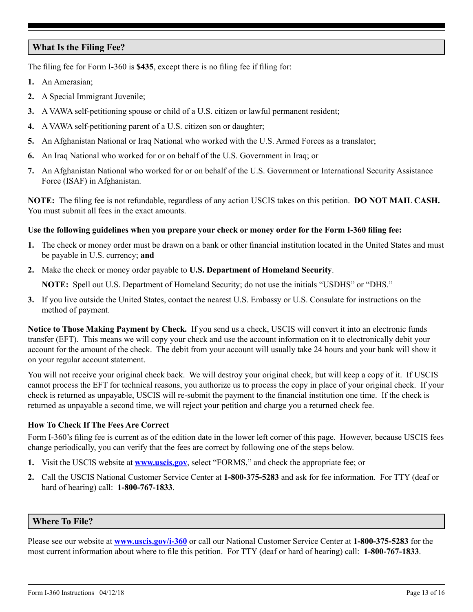## **What Is the Filing Fee?**

The filing fee for Form I-360 is **\$435**, except there is no filing fee if filing for:

- **1.** An Amerasian;
- **2.** A Special Immigrant Juvenile;
- **3.** A VAWA self-petitioning spouse or child of a U.S. citizen or lawful permanent resident;
- **4.** A VAWA self-petitioning parent of a U.S. citizen son or daughter;
- **5.** An Afghanistan National or Iraq National who worked with the U.S. Armed Forces as a translator;
- **6.** An Iraq National who worked for or on behalf of the U.S. Government in Iraq; or
- **7.** An Afghanistan National who worked for or on behalf of the U.S. Government or International Security Assistance Force (ISAF) in Afghanistan.

**NOTE:** The filing fee is not refundable, regardless of any action USCIS takes on this petition. **DO NOT MAIL CASH.**  You must submit all fees in the exact amounts.

#### **Use the following guidelines when you prepare your check or money order for the Form I-360 filing fee:**

- **1.** The check or money order must be drawn on a bank or other financial institution located in the United States and must be payable in U.S. currency; **and**
- **2.** Make the check or money order payable to **U.S. Department of Homeland Security**.

**NOTE:** Spell out U.S. Department of Homeland Security; do not use the initials "USDHS" or "DHS."

**3.** If you live outside the United States, contact the nearest U.S. Embassy or U.S. Consulate for instructions on the method of payment.

**Notice to Those Making Payment by Check.** If you send us a check, USCIS will convert it into an electronic funds transfer (EFT). This means we will copy your check and use the account information on it to electronically debit your account for the amount of the check. The debit from your account will usually take 24 hours and your bank will show it on your regular account statement.

You will not receive your original check back. We will destroy your original check, but will keep a copy of it. If USCIS cannot process the EFT for technical reasons, you authorize us to process the copy in place of your original check. If your check is returned as unpayable, USCIS will re-submit the payment to the financial institution one time. If the check is returned as unpayable a second time, we will reject your petition and charge you a returned check fee.

## **How To Check If The Fees Are Correct**

Form I-360's filing fee is current as of the edition date in the lower left corner of this page. However, because USCIS fees change periodically, you can verify that the fees are correct by following one of the steps below.

- **1.** Visit the USCIS website at **[www.uscis.gov](http://www.uscis.gov)**, select "FORMS," and check the appropriate fee; or
- **2.** Call the USCIS National Customer Service Center at **1-800-375-5283** and ask for fee information. For TTY (deaf or hard of hearing) call: **1-800-767-1833**.

#### **Where To File?**

Please see our website at **[www.uscis.gov/i-360](http://www.uscis.gov/I-360)** or call our National Customer Service Center at **1-800-375-5283** for the most current information about where to file this petition. For TTY (deaf or hard of hearing) call: **1-800-767-1833**.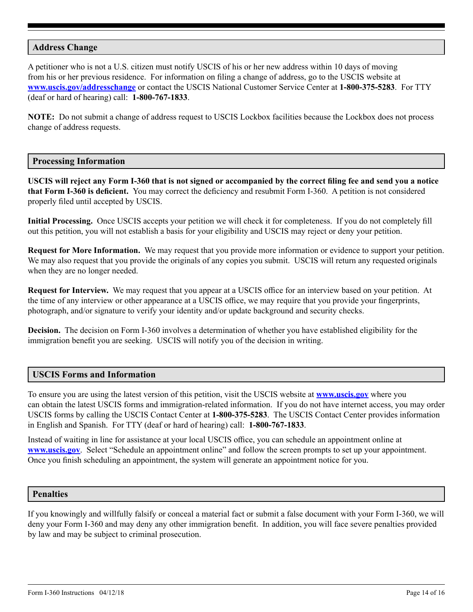### **Address Change**

A petitioner who is not a U.S. citizen must notify USCIS of his or her new address within 10 days of moving from his or her previous residence. For information on filing a change of address, go to the USCIS website at **[www.uscis.gov/addresschange](http://www.uscis.gov/addresschange)** or contact the USCIS National Customer Service Center at **1-800-375-5283**. For TTY (deaf or hard of hearing) call: **1-800-767-1833**.

**NOTE:** Do not submit a change of address request to USCIS Lockbox facilities because the Lockbox does not process change of address requests.

#### **Processing Information**

**USCIS will reject any Form I-360 that is not signed or accompanied by the correct filing fee and send you a notice that Form I-360 is deficient.** You may correct the deficiency and resubmit Form I-360. A petition is not considered properly filed until accepted by USCIS.

**Initial Processing.** Once USCIS accepts your petition we will check it for completeness. If you do not completely fill out this petition, you will not establish a basis for your eligibility and USCIS may reject or deny your petition.

**Request for More Information.** We may request that you provide more information or evidence to support your petition. We may also request that you provide the originals of any copies you submit. USCIS will return any requested originals when they are no longer needed.

**Request for Interview.** We may request that you appear at a USCIS office for an interview based on your petition. At the time of any interview or other appearance at a USCIS office, we may require that you provide your fingerprints, photograph, and/or signature to verify your identity and/or update background and security checks.

**Decision.** The decision on Form I-360 involves a determination of whether you have established eligibility for the immigration benefit you are seeking. USCIS will notify you of the decision in writing.

#### **USCIS Forms and Information**

To ensure you are using the latest version of this petition, visit the USCIS website at **[www.uscis.gov](http://www.uscis.gov)** where you can obtain the latest USCIS forms and immigration-related information. If you do not have internet access, you may order USCIS forms by calling the USCIS Contact Center at **1-800-375-5283**. The USCIS Contact Center provides information in English and Spanish. For TTY (deaf or hard of hearing) call: **1-800-767-1833**.

Instead of waiting in line for assistance at your local USCIS office, you can schedule an appointment online at **[www.uscis.gov](http://www.uscis.gov)**. Select "Schedule an appointment online" and follow the screen prompts to set up your appointment. Once you finish scheduling an appointment, the system will generate an appointment notice for you.

#### **Penalties**

If you knowingly and willfully falsify or conceal a material fact or submit a false document with your Form I-360, we will deny your Form I-360 and may deny any other immigration benefit. In addition, you will face severe penalties provided by law and may be subject to criminal prosecution.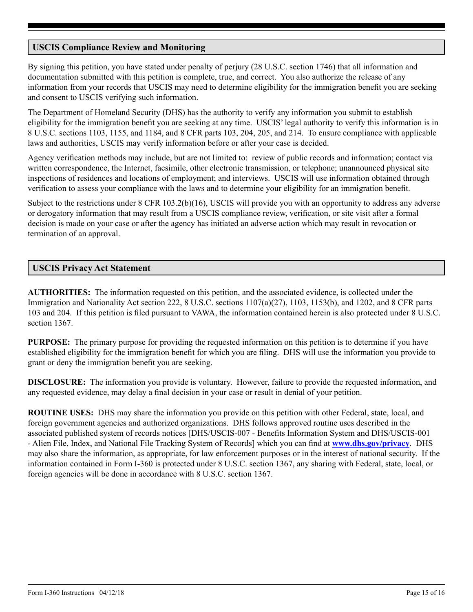## **USCIS Compliance Review and Monitoring**

By signing this petition, you have stated under penalty of perjury (28 U.S.C. section 1746) that all information and documentation submitted with this petition is complete, true, and correct. You also authorize the release of any information from your records that USCIS may need to determine eligibility for the immigration benefit you are seeking and consent to USCIS verifying such information.

The Department of Homeland Security (DHS) has the authority to verify any information you submit to establish eligibility for the immigration benefit you are seeking at any time. USCIS' legal authority to verify this information is in 8 U.S.C. sections 1103, 1155, and 1184, and 8 CFR parts 103, 204, 205, and 214. To ensure compliance with applicable laws and authorities, USCIS may verify information before or after your case is decided.

Agency verification methods may include, but are not limited to: review of public records and information; contact via written correspondence, the Internet, facsimile, other electronic transmission, or telephone; unannounced physical site inspections of residences and locations of employment; and interviews. USCIS will use information obtained through verification to assess your compliance with the laws and to determine your eligibility for an immigration benefit.

Subject to the restrictions under 8 CFR 103.2(b)(16), USCIS will provide you with an opportunity to address any adverse or derogatory information that may result from a USCIS compliance review, verification, or site visit after a formal decision is made on your case or after the agency has initiated an adverse action which may result in revocation or termination of an approval.

## **USCIS Privacy Act Statement**

**AUTHORITIES:** The information requested on this petition, and the associated evidence, is collected under the Immigration and Nationality Act section 222, 8 U.S.C. sections 1107(a)(27), 1103, 1153(b), and 1202, and 8 CFR parts 103 and 204. If this petition is filed pursuant to VAWA, the information contained herein is also protected under 8 U.S.C. section 1367.

**PURPOSE:** The primary purpose for providing the requested information on this petition is to determine if you have established eligibility for the immigration benefit for which you are filing. DHS will use the information you provide to grant or deny the immigration benefit you are seeking.

**DISCLOSURE:** The information you provide is voluntary. However, failure to provide the requested information, and any requested evidence, may delay a final decision in your case or result in denial of your petition.

**ROUTINE USES:** DHS may share the information you provide on this petition with other Federal, state, local, and foreign government agencies and authorized organizations. DHS follows approved routine uses described in the associated published system of records notices [DHS/USCIS-007 - Benefits Information System and DHS/USCIS-001 - Alien File, Index, and National File Tracking System of Records] which you can find at **[www.dhs.gov/privacy](http://www.dhs.gov/privacy)**. DHS may also share the information, as appropriate, for law enforcement purposes or in the interest of national security. If the information contained in Form I-360 is protected under 8 U.S.C. section 1367, any sharing with Federal, state, local, or foreign agencies will be done in accordance with 8 U.S.C. section 1367.